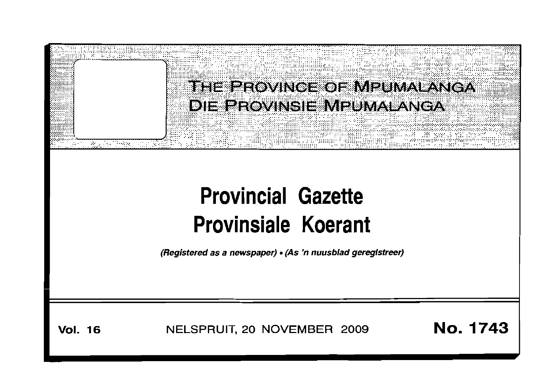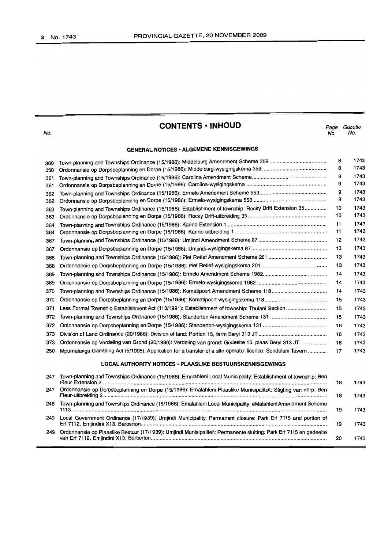No.

#### **CONTENTS • INHOUD**

Page Gazette<br>No. No. No. No.

#### **GENERAL NOTICES· ALGEMENE KENNISGEWINGS**

| 360                                                              |                                                                                                                | 8  | 1743 |
|------------------------------------------------------------------|----------------------------------------------------------------------------------------------------------------|----|------|
| 360                                                              |                                                                                                                | 8  | 1743 |
| 361                                                              |                                                                                                                | 8  | 1743 |
| 361                                                              |                                                                                                                | 9  | 1743 |
| 362                                                              |                                                                                                                | 9  | 1743 |
| 362                                                              |                                                                                                                | 9  | 1743 |
| 363                                                              | Town-planning and Townships Ordinance (15/1986): Establishment of township: Rocky Drift Extension 35           | 10 | 1743 |
| 363                                                              |                                                                                                                | 10 | 1743 |
| 364                                                              |                                                                                                                | 11 | 1743 |
| 364                                                              |                                                                                                                | 11 | 1743 |
| 367                                                              |                                                                                                                | 12 | 1743 |
| 367                                                              |                                                                                                                | 13 | 1743 |
| 368                                                              |                                                                                                                | 13 | 1743 |
| 368                                                              |                                                                                                                | 13 | 1743 |
| 369                                                              |                                                                                                                | 14 | 1743 |
| 369                                                              |                                                                                                                | 14 | 1743 |
| 370                                                              |                                                                                                                | 14 | 1743 |
| 370                                                              |                                                                                                                | 15 | 1743 |
| 371                                                              |                                                                                                                | 15 | 1743 |
| 372                                                              |                                                                                                                | 15 | 1743 |
| 372                                                              |                                                                                                                | 16 | 1743 |
| 373                                                              |                                                                                                                | 16 | 1743 |
| 373                                                              | Ordonnansie op Verdeling van Grond (20/1986): Verdeling van grond: Gedeelte 15, plaas Beryl 313 JT             | 16 | 1743 |
| 250                                                              | Mpumalanga Gambling Act (5/1995): Application for a transfer of a site operator licence: Sondelani Tavern      | 17 | 1743 |
| <b>LOCAL AUTHORITY NOTICES · PLAASLIKE BESTUURSKENNISGEWINGS</b> |                                                                                                                |    |      |
| 247                                                              | Town-planning and Townships Ordinance (15/1986): Emalahleni Local Municipality: Establishment of township: Ben | 18 | 1743 |
| 247                                                              | Ordonnansie op Dorpsbeplanning en Dorpe (15/1986): Emalahleni Plaaslike Munisipaliteit: Stigting van dorp: Ben | 18 | 1743 |

248 Town-planning and Townships Ordinance (15/1986): Emalahleni Local Municipality: eMalahleni Amendment Scheme

249 Local Government Ordinance (17/1939): Umjindi Municipality: Permanent closure: Park Erf 7115 and portion of

249 Ordonnansie op Plaaslike Bestuur (17/1939): Umjindi Munisipaliteit: Permanente sluiting: Park Erf 7115 en gedeelte

1113................................................................................................................................................................................ 19 1743

Erf 7112, Emjindini X13, Barberton................................................................................................................................ 19 1743

van Erf 7112, Emjindini X13, Barberton......................................................................................................................... 20 1743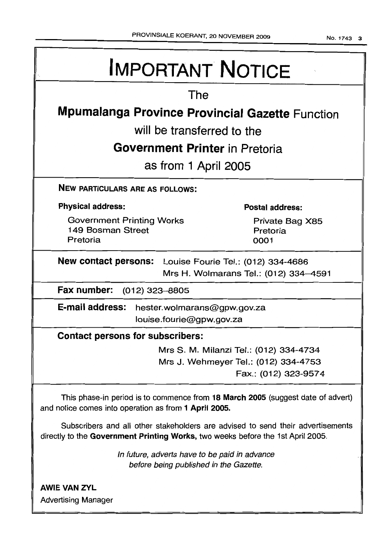No.1743 3

# **IMPORTANT NOTICE**

## The

## **Mpumalanga Province Provincial Gazette** Function

will be transferred to the

## **Government Printer** in Pretoria

as from 1 April 2005

NEW PARTICULARS ARE AS FOLLOWS:

#### Physical address:

Government Printing Works 149 Bosman Street Pretoria

Postal address:

Private Bag X85 Pretoria 0001

New contact persons: Louise Fourie Tel.: (012) 334-4686 Mrs H. Wolmarans Tel.: (012) 334-4591

Fax number: (012) 323-8805

E-mail address: hester.wolmarans@gpw.gov.za louise.fourie@gpw.gov.za

#### Contact persons for subscribers:

Mrs S. M. Milanzi Tel.: (012) 334-4734 Mrs J. Wehmeyer Tel.: (012) 334-4753 Fax.: (012) 323-9574

This phase-in period is to commence from 18 March 2005 (suggest date of advert) and notice comes into operation as from 1 April 2005.

Subscribers and all other stakeholders are advised to send their advertisements directly to the Government Printing Works, two weeks before the 1st April 2005.

> In future, adverts have to be paid in advance before being published in the Gazette.

**AWIE VAN ZYL** Advertising Manager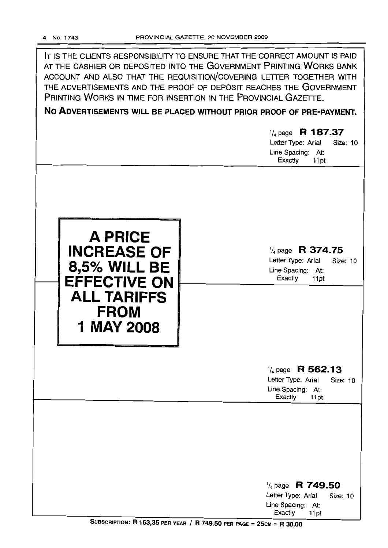| IT IS THE CLIENTS RESPONSIBILITY TO ENSURE THAT THE CORRECT AMOUNT IS PAID<br>AT THE CASHIER OR DEPOSITED INTO THE GOVERNMENT PRINTING WORKS BANK<br>ACCOUNT AND ALSO THAT THE REQUISITION/COVERING LETTER TOGETHER WITH<br>THE ADVERTISEMENTS AND THE PROOF OF DEPOSIT REACHES THE GOVERNMENT<br>PRINTING WORKS IN TIME FOR INSERTION IN THE PROVINCIAL GAZETTE.<br>NO ADVERTISEMENTS WILL BE PLACED WITHOUT PRIOR PROOF OF PRE-PAYMENT.<br>$\frac{1}{4}$ page R 187.37<br>Letter Type: Arial<br>Size: 10<br>Line Spacing: At:<br>Exactly<br>11pt |                                                                                                       |  |  |  |  |
|----------------------------------------------------------------------------------------------------------------------------------------------------------------------------------------------------------------------------------------------------------------------------------------------------------------------------------------------------------------------------------------------------------------------------------------------------------------------------------------------------------------------------------------------------|-------------------------------------------------------------------------------------------------------|--|--|--|--|
| <b>A PRICE</b><br><b>INCREASE OF</b><br><b>8,5% WILL BE</b><br><b>EFFECTIVE ON</b><br><b>ALL TARIFFS</b><br><b>FROM</b><br><b>1 MAY 2008</b>                                                                                                                                                                                                                                                                                                                                                                                                       | $\frac{1}{4}$ page R 374.75<br>Letter Type: Arial<br>Size: 10<br>Line Spacing: At:<br>Exactly<br>11pt |  |  |  |  |
|                                                                                                                                                                                                                                                                                                                                                                                                                                                                                                                                                    | $\frac{1}{4}$ page R 562.13<br>Letter Type: Arial<br>Size: 10<br>Line Spacing: At:<br>Exactly<br>11pt |  |  |  |  |
|                                                                                                                                                                                                                                                                                                                                                                                                                                                                                                                                                    | $\frac{1}{4}$ page R 749.50<br>Letter Type: Arial<br>Size: 10<br>Line Spacing: At:<br>Exactly<br>11pt |  |  |  |  |

SUBSCRIPTION: R 163,35 PER YEAR / R 749.50 PER PAGE = 25CM = R 30,00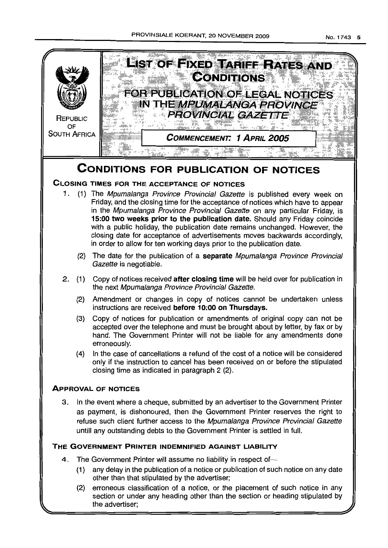

(2) erroneous classification of a notice, or the placement of such notice in any section or under any heading other than the section or heading stipulated by the advertiser;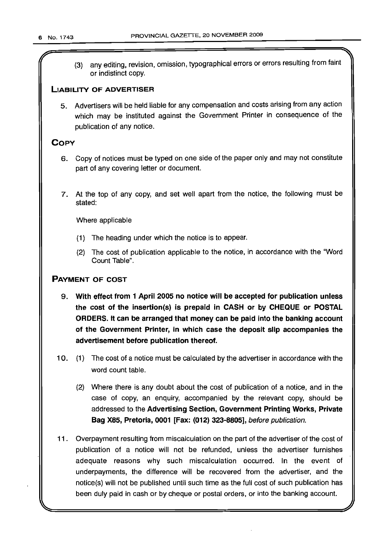(3) any editing, revision, omission, typographical errors or errors resulting from faint or indistinct copy.

 $'$ 

#### LIABILITY OF ADVERTISER

5. Advertisers will be held liable for any compensation and costs arising from any action which may be instituted against the Government Printer in consequence of the publication of any notice.

#### **COPY**

- 6. Copy of notices must be typed on one side of the paper only and may not constitute part of any covering letter or document.
- 7. At the top of any copy, and set well apart from the notice, the following must be stated:

Where applicable

- (1) The heading under which the notice is to appear.
- (2) The cost of publication applicable to the notice, in accordance with the "Word Count Table".

#### PAYMENT OF COST

- 9. With effect from 1 April 2005 no notice will be accepted for publication unless the cost of the insertion(s) is prepaid in CASH or by CHEQUE or POSTAL ORDERS. It can be arranged that money can be paid into the banking account of the Government Printer, in which case the deposit slip accompanies the advertisement before publication thereof.
- 10. (1) The cost of a notice must be calculated by the advertiser in accordance with the word count table.
	- (2) Where there is any doubt about the cost of publication of a notice, and in the case of copy, an enquiry, accompanied by the relevant copy, should be addressed to the Advertising Section, Government Printing Works, Private Bag X85, Pretoria, 0001 [Fax: (012) 323-8805], before publication.
- 11. Overpayment resulting from miscalculation on the part of the advertiser of the cost of publication of a notice will not be refunded, unless the advertiser furnishes adequate reasons why such miscalculation occurred. In the event of underpayments, the difference will be recovered from the advertiser, and the notice(s) will not be published until such time as the full cost of such publication has been duly paid in cash or by cheque or postal orders, or into the banking account.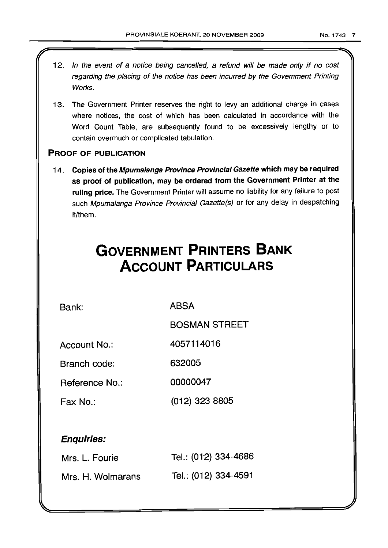- 12. In the event of a notice being cancelled, a refund will be made only if no cost regarding the placing of the notice has been incurred by the Government Printing Works.
- 13. The Government Printer reserves the right to levy an additional charge in cases where notices, the cost of which has been calculated in accordance with the Word Count Table, are subsequently found to be excessively lengthy or to contain overmuch or complicated tabulation.

#### PROOF OF PUBLICATION

14. Copies of the Mpumalanga Province Provincial Gazette which may be required as proof of publication, may be ordered from the Government Printer at the ruling price. The Government Printer will assume no liability for any failure to post such Mpumalanga Province Provincial Gazette(s) or for any delay in despatching it/them.

## **GOVERNMENT PRINTERS BANK ACCOUNT PARTICULARS**

Bank: ABSA

BOSMAN STREET

Account No.: 4057114016

Branch code: 632005

Reference No.: 00000047

Fax No.: (012) 323 8805

#### Enquiries:

| Mrs. L. Fourie    | Tel.: (012) 334-4686 |
|-------------------|----------------------|
| Mrs. H. Wolmarans | Tel.: (012) 334-4591 |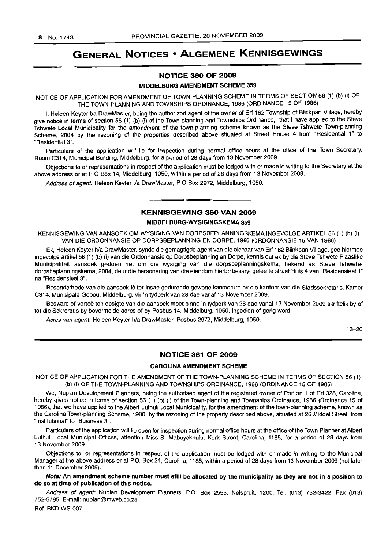## GENERAL NOTICES • ALGEMENE KENNISGEWINGS

#### N01"ICE 360 OF 2009

#### MIDDELBURG AMENDMENT SCHEME 359

NOTICE OF APPLICATION FOR AMENDMENT OF TOWN PLANNING SCHEME IN TERMS OF SECTION 56 (1) (b) (i) OF THE TOWN PLANNING AND TOWNSHIPS ORDINANCE, 1986 (ORDINANCE 15 OF 1986)

I, Heleen Keyter Va DrawMaster, being the authorized agent of the owner of Erf 162 Township of Blinkpan Village, hereby give notice in terms of section 56 (1) (b) (i) of the Town-planning and Townships Ordinance, that I have applied to the Steve Tshwete Local Municipality for the amendment of the town-planning scheme known as the Steve Tshwete Town-planning Scheme, 2004 by the rezoning of the properties described above situated at Street House 4 from "Residential 1" to "Residential 3".

Particulars of the application will lie for inspection during normal office hours at the office of the Town Secretary, Room C314, Municipal Building, Middelburg, for a period of 28 days from 13 November 2009.

Objections to or representations in respect of the application must be lodged with or made in writing to the Secretary at the above address or at P O Box 14, Middelburg, 1050, within a period of 28 days from 13 November 2009.

Address of agent: Heleen Keyter t/a DrawMaster, P O Box 2972, Middelburg, 1050.

#### KENNISGEWING 360 VAN 2009

.**- .**

#### MIDDELBURG-WYSIGINGSKEMA 359

KENNISGEWING VAN AANSOEK OM WYSIGING VAN DORPSBEPLANNINGSKEMA INGEVOLGE ARTIKEL 56 (1) (b) (i) VAN DIE ORDONNANSIE OP DORPSBEPLANNING EN DORPE, 1986 (ORDONNANSIE 15 VAN 1986)

Ek, Heleen Keyter h/a DrawMaster, synde die gemagtigde agent van die eienaar van Erf 162 Blinkpan Village, gee hiermee ingevolge artikel 56 (1) (b) (i) van die Ordonnansie op Dorpsbeplanning en Dorpe, kennis dat ek by die Steve Tshwete Plaaslike Munisipaliteit aansoek gedoen het om die wysiging van die dorpsbeplanningskema, bekend as Steve Tshwetedorpsbeplanningskema, 2004, deur die hersonering van die eiendom hierbo beskryf gelee te straat Huis 4 van "Residensieel 1" na "ResidensieeI3".

Besonderhede van die aansoek lê ter insae gedurende gewone kantoorure by die kantoor van die Stadssekretaris, Kamer C314, Munisipale Gebou, Middelburg, vir 'n tydperk van 28 dae vanaf 13 November 2009.

Besware of vertoë ten opsigte van die aansoek moet binne 'n tydperk van 28 dae vanaf 13 November 2009 skriftelik by of tot die Sekreratis by bovermelde adres of by Posbus 14, Middelburg, 1050, ingedien of gerig word.

Adres van agent: Heleen Keyter h/a DrawMaster, Posbus 2972, Middelburg, 1050.

13-20

#### NOTICE 361 OF 2009

#### CAROLINA AMENDMENT SCHEME

NOTICE OF APPLICATION FOR THE AMENDMENT OF THE TOWN-PLANNING SCHEME IN TERMS OF SECTION 56 (1) (b) (i) OF THE TOWN-PLANNING AND TOWNSHIPS ORDINANCE, 1986 (ORDINANCE 15 OF 1986)

We, Nuplan Development Planners, being the authorised agent of the registered owner of Portion 1 of Erf 328, Carolina, hereby gives notice in terms of section 56 (1) (b) (i) of the Town-planning and Townships Ordinance, 1986 (Ordinance 15 of 1986), that we have applied to the Albert Luthuli Local Municipality, for the amendment of the town-planning scheme, known as the Carolina Town-planning Scheme, 1980, by the rezoning of the property described above, situated at 26 Middel Street, from "Institutional" to "Business 3".

Particulars of the application will lie open for inspection during normal office hours at the office of the Town Planner at Albert Luthuli Local Municipal Offices, attention Miss S. Mabuyakhulu, Kerk Street, Carolina, 1185, for a period of 28 days from 13 November 2009.

Objections to, or representations in respect of the application must be lodged with or made in writing to the Municipal Manager at the above address or at P.O. Box 24, Carolina, 1185, within a period of 28 days from 13 November 2009 (not later than 11 December 2009).

Note: An amendment scheme number must still be allocated by the municipality as they are not in a position to do so at time of publication of this notice.

Address of agent: Nuplan Development Planners, P.O. Box 2555, Nelspruit, 1200. Tel. (013) 752-3422. Fax (013) 752-5795. E-mail: nuplan@mweb.co.za

Ref. BKD-WS-007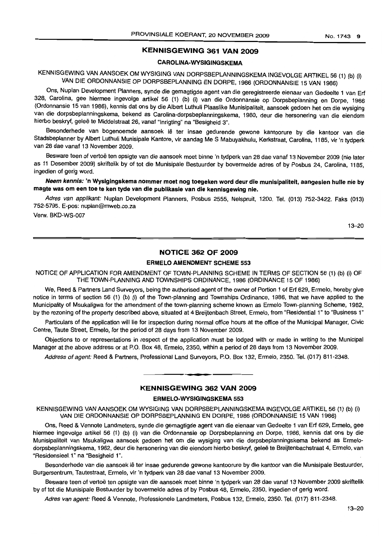#### KENNISGEWING 361 VAN 2009

#### CAROLINA-WYSIGINGSKEMA

### KENNISGEWING VAN AANSOEK OM WYSIGING VAN DORPSBEPLANNINGSKEMA INGEVOLGE ARTIKEL 56 (1) (b) (i) VAN DIE ORDONNANSIE OP DORPSBEPLANNING EN DORPE, 1986 (ORDONNANSIE 15 VAN 1986)

Ons, Nuplan Development Planners, synde die gemagtigde agent van die geregistreerde eienaar van Gedeelte 1 van Erf 328, Carolina, gee hiermee ingevolge artikel 56 (1) (b) (i) van die Ordonnansie op Dorpsbeplanning en Dorpe, 1986 (Ordonnansie 15 van 1986), kennis dat ons by die Albert Luthuli Plaaslike Munisipaliteit, aansoek gedoen het om die wysiging van die dorpsbeplanningskema, bekend as Carolina-dorpsbeplanningskema, 1980, deur die hersonering van die eiendom hierbo beskryf, geleë te Middelstraat 26, vanaf "Inrigting" na "Besigheid 3".

Besonderhede van bogenoemde aansoek lê ter insae gedurende gewone kantoorure by die kantoor van die Stadsbeplanner by Albert Luthuli Munisipale Kantore, vir aandag Me S Mabuyakhulu, Kerkstraat, Carolina, 1185, vir 'n tydperk van 28 dae vanaf 13 November 2009.

Besware teen of vertoë ten opsigte van die aansoek moet binne 'n tydperk van 28 dae vanaf 13 November 2009 (nie later as 11 Desember 2009) skriftelik by of tot die Munisipale Bestuurder by bovermelde adres of by Posbus 24, Carolina, 1185, ingedien of gerig word.

Neem kennis: 'n Wysigingskema nommer moet nog toegeken word deur die munisipaliteit, aangesien hulle nie by magte was om een toe te ken tyde van die publikasie van die kennisgewing nie.

Adres van applikant: Nuplan Development Planners, Posbus 2555, Nelspruit, 1200. Tel. (013) 752-3422. Faks (013) 752-5795. E-pos: nuplan@mweb.co.za

Verw. BKD-WS-007

13-20

#### NOTICE 362 OF 2009

#### ERMELO AMENDMENT SCHEME 553

NOTICE OF APPLICATION FOR AMENDMENT OF TOWN-PLANNING SCHEME IN TERMS OF SECTION 56 (1) (b) (i) OF THE TOWN-PLANNING AND TOWNSHIPS ORDINANCE, 1986 (ORDINANCE 15 OF 1986)

We, Reed & Partners Land Surveyors, being the authorised agent of the owner of Portion 1 of Erf 629, Ermelo, hereby give notice in terms of section 56 (1) (b) (i) of the Town-planning and Townships Ordinance, 1986, that we have applied to the Municipality of Msukaligwa for the amendment of the town-planning scheme known as Ermelo Town-planning Scheme, 1982, by the rezoning of the property described above, situated at 4 Breijtenbach Street, Ermelo, from "Residential 1" to "Business 1"

Particulars of the application will lie for inspection during normal office hours at the office of the Municipal Manager, Civic Centre, Taute Street, Ermelo, for the period of 28 days from 13 November 2009.

Objections to or representations in respect of the application must be lodged with or made in writing to the Municipal Manager at the above address or at P.O. Box 48, Ermelo, 2350, within a period of 28 days from 13 November 2009.

Address of agent: Reed & Partners, Professional Land Surveyors, P.O. Box 132, Ermelo, 2350. Tel. (017) 811-2348.

#### KENNISGEWING 362 VAN 2009

**-**

#### ERMELO·WYSIGINGSKEMA 553

KENNISGEWING VAN AANSOEK OM WYSIGING VAN DORPSBEPLANNINGSKEMA INGEVOLGE ARTIKEL 56 (1) (b) (i) VAN DIE ORDONNANSIE OP DORPSBEPLANNING EN DORPE, 1986 (ORDONNANSIE 15 VAN 1986)

Ons, Reed & Vennote Landmeters, synde die gemagtigde agent van die eienaar van Gedeelte 1 van Erf 629, Ermelo, gee hiermee ingevolge artikel 56 (1) (b) (i) van die Ordonnansie op Dorpsbeplanning en Dorpe, 1986, kennis dat ons by die Munisipaliteit van Msukaligwa aansoek gedoen het om die wysiging van die dorpsbeplanningskema bekend as Ermelodorpsbeplanningskema, 1982, deur die hersonering van die eiendom hierbo beskryf, geleë te Breijtenbachstraat 4, Ermelo, van "Residensieel 1" na "Besigheid 1".

Besonderhede van die aansoek lê ter insae gedurende gewone kantoorure by die kantoor van die Munisipale Bestuurder, Burgersentrum, Tautestraat, Ermelo, vir 'n tydperk van 28 dae vanaf 13 November 2009.

Besware teen of vertoë ten opsigte van die aansoek moet binne 'n tydperk van 28 dae vanaf 13 November 2009 skriftelik by of tot die Munisipale Bestuurder by bovermelde adres of by Posbus 48, Ermelo, 2350, ingedien of gerig word.

Adres van agent: Reed & Vennote, Professionele Landmeters, Posbus 132, Ermelo, 2350. Tel. (017) 811-2348.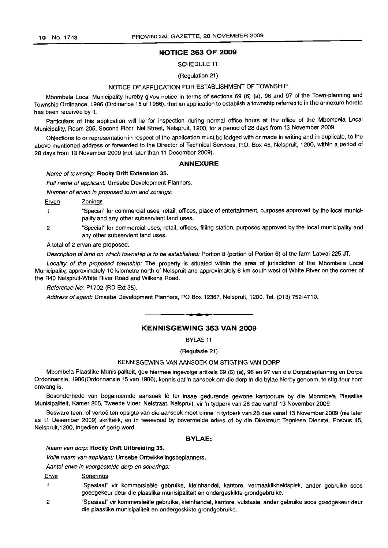#### **NOTICE 363 OF 2009**

SCHEDULE 11

#### (Regulation 21)

#### NOTICE OF APPLICATION FOR ESTABLISHMENT OF TOWNSHIP

Mbombela Local Municipality hereby gives notice in terms of sections 69 (6) (a), 96 and 97 of the Town-planning and Township Ordinance, 1986 (Ordinance 15 of 1986), that an application to establish a township referred to in the annexure hereto has been received by it.

Particulars of this application will lie for inspection during normal office hours at the office of the Mbombela Local Municipality, Room 205, Second Floor, Nel Street, Nelspruit, 1200, for a period of 28 days from 13 November 2009.

Objections to or representation in respect of the application must be lodged with or made in writing and in duplicate, to the above-mentioned address or forwarded to the Director of Technical Services, P.O. Box 45, Nelspruit, 1200, within a period of 28 days from 13 November 2009 (not later than 11 December 2009).

#### **ANNEXURE**

#### Name of township: **Rocky Drift Extension** 35.

Full name of applicant: Umsebe Development Planners.

Number of erven in proposed town and zonings:

Erven Zonings

- "Special" for commercial uses, retail, offices, place of entertainment, purposes approved by the local munici- $\mathbf{1}$ pality and any other subservient land uses.
- 2 "Special" for commercial uses, retail, offices, filling station, purposes approved by the local municipality and any other subservient land uses.

A total of 2 erven are proposed.

Description of land on which township is to be established: Portion 8 (portion of Portion 6) of the farm Latwai 225 JT.

Locality of the proposed township: The property is situated within the area of jurisdiction of the Mbombela Local Municipality, approximately 10 kilometre north of Nelspruit and approximately 6 km south-west of White River on the corner of the R40 Nelspruit-White River Road and Wilkens Road.

Reference No: P1702 (RD Ext 35).

Address of agent: Umsebe Development Planners, PO Box 12367, Nelspruit, 1200. Tel. (013) 752-4710.

#### **KENNISGEWING 363 VAN 2009**

.**- .**

BYLAE 11

(Regulasie 21)

#### KENNISGEWING VAN AANSOEK OM STIGTING VAN DORP

Mbombela Plaaslike Munisipaliteit, gee hiermee ingevolge artikels 69 (6) (a), 96 en 97 van die Dorpsbeplanning en Dorpe Ordonnansie, 1986(Ordonnansie 15 van 1986), kennis dat 'n aansoek om die dorp in die bylae hierby genoem, te stig deur hom ontvang is.

Besonderhede van bogenoemde aansoek lê ter insae gedurende gewone kantoorure by die Mbombela Plaaslike Munisipaliteit, Kamer 205, Tweede Vloer, Nelstraat, Nelspruit, vir 'n tydperk van 28 dae vanaf 13 November 2009.

Besware teen, of vertoë ten opsigte van die aansoek moet binne 'n tydperk van 28 dae vanaf 13 November 2009 (nie later as 11 Desember 2009) skriftelik, en in tweevoud by bovermelde adres of by die Direkteur: Tegniese Dienste, Posbus 45, Nelspruit,1200, ingedien of gerig word.

#### **BYLAE:**

#### Naam van dorp: **Rocky Drift Uitbreiding** 35.

Volle naam van applikant: Umsebe Ontwikkelingsbeplanners.

Aantal erwe in voorgestelde dorp en sonerings:

#### Erwe Sonerings

- $\mathbf{1}$ "Spesiaal" vir kommersieele gebruike, kleinhandel, kantore, vermaaklikheidsplek, ander gebruike soos goedgekeur deur die plaaslike munisipaliteit en ondergeskikte grondgebruike.
- 2 "Spesiaal" vir komrnersieele gebruike, kleinhandel, kantore, vulstasie, ander gebruike soos goedgekeur deur die plaaslike munisipaliteit en ondergeskikte grondgebruike.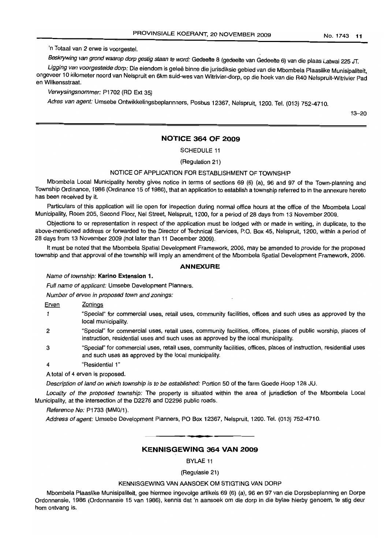'n Totaal van 2 erwe is voorgestel.

Beskrywing van grond waarop dorp gestig staan te word: Gedeelte 8 (gedeelte van Gedeelte 6) van die plaas Latwai 225 JT.

Ligging van voorgestelde dorp: Die eiendom is geleë binne die jurisdiksie gebied van die Mbombela Plaaslike Munisipaliteit, ongeveer 10 kilometer noord van Nelspruit en 6km suid-wes van Witrivier-dorp, op die hoek van die R40 Nelspruit-Witrivier Pad en Wilkensstraat.

#### Verwysingsnommer: P1702 (RD Ext 35)

Adres van agent: Umsebe Ontwikkelingsbeplannners, Posbus 12367, Nelspruit, 1200. Tel. (013) 752-4710.

13-20

#### **NOTICE 364 OF 2009**

SCHEDULE 11

(Regulation 21)

#### NOTICE OF APPLICATION FOR ESTABLISHMENT OF TOWNSHIP

Mbombela Local Municipality hereby gives notice in terms of sections 69 (6) (a), 96 and 97 of the Town-planning and Township Ordinance, 1986 (Ordinance 15 of 1986), that an application to establish a township referred to in the annexure hereto has been received by it.

Particulars of this application will lie open for inspection during normal office hours at the office of the Mbombela Local Municipality, Room 205, Second Floor, Nel Street, Nelspruit, 1200, for a period of 28 days from 13 November 2009.

Objections to or representation in respect of the application must be lodged with or made in writing, in duplicate, to the above-mentioned address or forwarded to the Director of Technical Services, P.O. Box 45, Nelspruit, 1200, within a period of 28 days from 13 November 2009 (not later than 11 December 2009).

It must be noted that the Mbombela Spatial Development Framework, 2006, may be amended to provide for the proposed township and that approval of the township will imply an amendment of the Mbombela Spatial Development Framework, 2006.

#### **ANNEXURE**

#### Name of township: Karina Extension 1.

Full name of applicant: Umsebe Development Planners.

Number of erven in proposed town and zonings:

#### Erven Zonings

- $\mathbf{1}$ "Special" for commercial uses, retail uses, community facilities, offices and such uses as approved by the local municipality.
- 2 "Special" for commercial uses, retail uses, community facilities, offices, places of public worship, places of instruction, residential uses and such uses as approved by the local municipality.
- 3 "Special" for commercial uses, retail uses, community facilities, offices, places of instruction, residential uses and such uses as approved by the local municipality.
- 4 "Residential 1"

A total of 4 erven is proposed.

Description of land on which township is to be established: Portion 50 of the farm Goede Hoop 128 JU.

Locality of the proposed township: The property is situated within the area of jurisdiction of the Mbombela Local Municipality, at the intersection of the D2276 and D2296 public roads.

#### Reference No: P1733 (MMO/1).

Address of agent: Umsebe Development Planners, PO Box 12367, Nelspruit, 1200. Tel. (013) 752-4710. .**-.**

#### **KENNISGEWING 364 VAN 2009**

BYLAE 11

#### (Regulasie 21)

#### KENNISGEWING VAN AANSOEK OM STIGTING VAN DORP

Mbombela Plaaslike Munisipaliteit, gee hiermee ingevolge artikels 69 (6) (a), 96 en 97 van die Dorpsbeplanning en Dorpe Ordonnansie, 1986 (Ordonnansie 15 van 1986), kennis dat 'n aansoek om die dorp in die bylae hierby genoem, te stig deur hom ontvang is.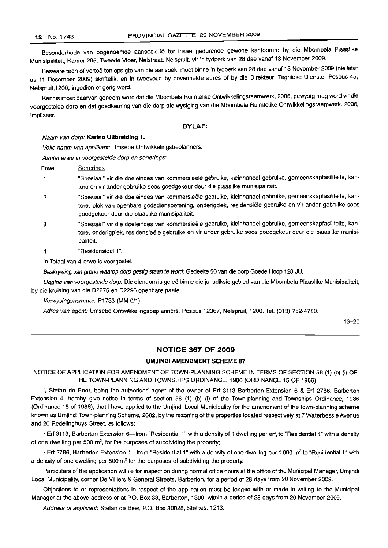Besonderhede van bogenoemde aansoek lê ter insae gedurende gewone kantoorure by die Mbombela Plaaslike Munisipaliteit, Kamer 205, Tweede Vloer, Nelstraat, Nelspruit, vir 'n tydperk van 28 dae vanaf 13 November 2009.

Besware teen of vertoë ten opsigte van die aansoek, moet binne 'n tydperk van 28 dae vanaf 13 November 2009 (nie later as 11 Desember 2009) skriftelik, en in tweevoud by bovermelde adres of by die Direkteur: Tegniese Dienste, Posbus 45, Nelspruit,1200, ingedien of gerig word.

Kennis moet daarvan geneem word dat die Mbombela Ruimtelike Ontwikkelingsraamwerk, 2006, gewysig mag word vir die voorgestelde dorp en dat goedkeuring van die dorp die wysiging van die Mbombela Ruimtelike Ontwikkelingsraamwerk, 2006, impliseer.

#### **BYLAE:**

#### Naam van dorp: **Karina Uitbreiding 1.**

Volle naam van applikant: Umsebe Ontwikkelingsbeplanners.

Aantal erwe in voorgestelde dorp en sonerings:

Erwe Sonerings

- "Spesiaal" vir die doeleindes van kommersieële gebruike, kleinhandel gebruike, gemeenskapfasiliteite, kan- $\mathbf{1}$ tore en vir ander gebruike 5005 goedgekeur deur die plaaslike munisipaliteit.
- $\overline{2}$ "Spesiaal" vir die doeleindes van komrnersteele gebruike, kleinhandel gebruike, gemeenskapfasiliteite, kantore, plek van openbare godsdiensoefening, onderigplek, residensiële gebruike en vir ander gebruike soos goedgekeur deur die plaaslike munisipaliteit.
- 3 "Spesiaal" vir die doeleindes van kommersieële gebruike, kleinhandel gebruike, gemeenskapfasiliteite, kantore, onderigplek, residensieële gebruike en vir ander gebruike soos goedgekeur deur die plaaslike munisipaliteit.
	- "Residensieel 1".

4

'n Totaal van 4 erwe is voorgestel.

Beskrywing van grond waarop dorp gestig staan te word: Gedeelte 50 van die dorp Goede Hoop 128 JU.

Ligging van voorgestelde dorp: Die eiendom is geleë binne die jurisdiksie gebied van die Mbombela Plaaslike Munisipaliteit, by die kruising van die D2276 en D2296 openbare paaie.

Verwysingsnommer: P1733 (MM 0/1)

Adres van agent: Umsebe Ontwikkelingsbeplanners, Posbus 12367, Nelspruit, 1200. Tel. (013) 752-4710.

13-20

#### **NOTICE 367 OF 2009**

#### **UMJINDI AMENDMENT SCHEME 87**

NOTICE OF APPLICATION FOR AMENDMENT OF TOWN-PLANNING SCHEME IN TERMS OF SECTION 56 (1) (b) (i) OF THE TOWN-PLANNING AND TOWNSHIPS ORDINANCE, 1986 (ORDINANCE 15 OF 1986)

I, Stefan de Beer, being the authorised agent of the owner of Erf 3113 Barberton Extension 6 & Erf 2786, Barberton Extension 4, hereby give notice in terms of section 56 (1) (b) (i) of the Town-planning and Townships Ordinance, 1986 (Ordinance 15 of 1986), that I have applied to the Umjindi Local Municipality for the amendment of the town-planning scheme known as Umjindi Town-planning Scheme, 2002, by the rezoning of the properties located respectively at 7 Waterbessie Avenue and 20 Redelinghuys Street, as follows:

• Erf 3113, Barberton Extension 6-from "Residential 1" with a density of 1 dwelling per erf, to "Residential 1" with a density of one dwelling per 500  $\mathsf{m}^2$ , for the purposes of subdividing the property;

• Erf 2786, Barberton Extension 4-from "Residential 1" with a density of one dwelling per 1 000 m<sup>2</sup> to "Residential 1" with a density of one dwelling per 500  $m^2$  for the purposes of subdividing the property.

Particulars of the application will lie for inspection during normal office hours at the office of the Municipal Manager, Umjindi Local Municipality, corner De Villiers & General Streets, Barberton, for a period of 28 days from 20 November 2009.

Objections to or representations in respect of the application must be lodged with or made in writing to the Municipal Manager at the above address or at P.O. Box 33, Barberton, 1300, within a period of 28 days from 20 November 2009.

Address of applicant: Stefan de Beer, P.O. Box 30028, Stelites, 1213.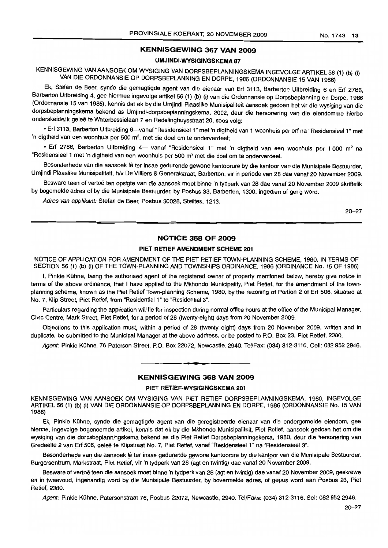#### KENNISGEWING 367 VAN 2009

#### UM.IINDI-WYSIGINGSKEMA 87

KENNISGEWING VAN AANSOEK OM WYSIGING VAN DORPSBEPLANNINGSKEMA INGEVOLGE ARTIKEL 56 (1) (b) (i) VAN DIE ORDONNANSIE OP DORPSBEPLANNING EN DORPE, 1986 (ORDONNANSIE 15 VAN 1986)

Ek, Stefan de Beer, synde die gemagtigde agent van die eienaar van Erf 3113, Barberton Uitbreiding 6 en Erf 2786, Barberton Uitbreiding 4, gee hiermee ingevolge artikel 56 (1) (b) (i) van die Ordonnansie op Dorpsbeplanning en Dorpe, 1986 (Ordonnansie 15 van 1986), kennis dat ek by die Umjindi Plaaslike Munisipaliteit aansoek gedoen het vir die wysiging van die dorpsbeplanningskema bekend as Umjindi-dorpsbeplanningskema, 2002, deur die hersonering van die eiendomme hierbo onderskeidelik geleë te Waterbessielaan 7 en Redelinghuysstraat 20, soos volg:

• Erf 3113, Barberton Uitbreiding 6—vanaf "Residensieel 1" met 'n digtheid van 1 woonhuis per erf na "Residensieel 1" met 'n digtheid van een woonhuis per 500 m<sup>2</sup>, met die doel om te onderverdeel;

• Erf 2786, Barberton Uitbreiding 4- vanaf "Residensieel 1" met 'n digtheid van een woonhuis per 1 000 m<sup>2</sup> na "Residensieel 1 met 'n digtheid van een woonhuis per 500 m<sup>2</sup> met die doel om te onderverdeel.

Besonderhede van die aansoek lê ter insae gedurende gewone kantoorure by die kantoor van die Munisipale Bestuurder, Umjindi Plaaslike Munisipaliteit, h/v De Villiers & Generalstraat, Barberton, vir 'n periode van 28 dae vanaf 20 November 2009.

Besware teen of vertoe ten opsigte van die aansoek moet binne 'n tydperk van 28 dae vanaf 20 November 2009 skriftelik by bogemelde adres of by die Munisipale Bestuurder, by Posbus 33, Barberton, 1300, ingedien of gerig word.

Adres van applikant: Stefan de Beer, Posbus 30028, Steiltes, 1213.

20-27

#### NOTICE 368 OF 2009

#### PIET RETIEF AMENDMENT SCHEME 201

NOTICE OF APPLICATION FOR AMENDMENT OF THE PIET RETIEF TOWN-PLANNING SCHEME, 1980, IN TERMS OF SECTION 56 (1) (b) (i) OF THE TOWN-PLANNING AND TOWNSHIPS ORDINANCE, 1986 (ORDINANCE No. 15 OF 1986)

I, Pinkie Kühne, being the authorised agent of the registered owner of property mentioned below, hereby give notice in terms of the above ordinance, that I have applied to the Mkhondo Municipality, Piet Retief, for the amendment of the townplanning scheme, known as the Piet Retief Town-planning Scheme, 1980, by the rezoning of Portion 2 of Erf 506, situated at No.7, Klip Street, Piet Retief, from "Residential 1"to "Residential 3".

Particulars regarding the application will lie for inspection during normal office hours at the office of the Municipal Manager, Civic Centre, Mark Street, Piet Retief, for a period of 28 (twenty-eight) days from 20 November 2009.

Objections to this application must, within a period of 28 (twenty eight) days from 20 November 2009, written and in duplicate, be submitted to the Municipal Manager at the above address, or be posted to P.O. Box 23, Piet Retief, 2380.

Agent: Pinkie Kühne, 76 Paterson Street, P.O. Box 22072, Newcastle, 2940. Tel/Fax: (034) 312-3116. Cell: 082 952 2946.

#### KENNISGEWING 368 VAN 2009

**•**

#### PIET RETIEF-WYSIGINGSKEMA 201

KENNISGEWING VAN AANSOEK OM WYSIGING VAN PIET RETIEF DORPSBEPLANNINGSKEMA, 1980, INGEVOLGE ARTIKEL 56 (1) (b) (i) VAN DIE ORDONNANSIE OP DORPSBEPLANNING EN DORPE, 1986 (ORDONNANSIE No. 15 VAN 1986)

Ek, Pinkie Kühne, synde die gemagtigde agent van die geregistreerde eienaar van die ondergemelde eiendom, gee hierme, ingevolge bogenoemde artikel, kennis dat ek by die Mkhondo Munisipaliteit, Piet Retief, aansoek gedoen het om die wysiging van die dorpsbeplanningskema bekend as die Piet Retief Dorpsbeplanningskema, 1980, deur die hersonering van Gredeelte 2 van Erf 506, geleë te Klipstraat No. 7, Piet Retief, vanaf "Residensieel 1" na "Residensieel 3".

Besonderhede van die aansoek lê ter insae gedurende gewone kantoorure by die kantoor van die Munisipale Bestuurder, Burgersentrum, Markstraat, Piet Retief, vir 'n tydperk van 28 (agt en twintig) dae vanaf 20 November 2009.

Besware of vertoë teen die aansoek moet binne 'n tydperk van 28 (agt en twintig) dae vanaf 20 November 2009, geskrewe en in tweevoud, ingehandig word by die Munisipale Bestuurder, by bovermelde adres, of gepos word aan Posbus 23, Piet Retief,2380.

Agent: Pinkie Kühne, Patersonstraat 76, Posbus 22072, Newcastle, 2940. Tel/Faks: (034) 312-3116. Sel: 082 952 2946.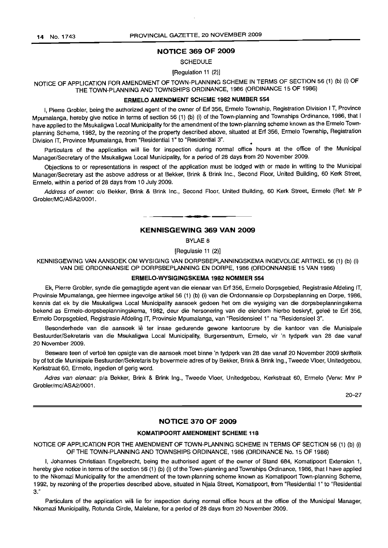#### **NOTICE 369 OF 2009**

#### **SCHEDULE**

#### [Regulation 11 (2)]

NOTICE OF APPLICATION FOR AMENDMENT OF TOWN-PLANNING SCHEME IN TERMS OF SECTION 56 (1) (b) (i) OF THE TOWN-PLANNING AND TOWNSHIPS ORDINANCE, 1986 (ORDINANCE 15 OF 1986)

#### **ERMELO AMENDMENT SCHEME 1982 NUMBER 554**

I, Pierre Grobler, being the authorized agent of the owner of Erf 356, Ermelo Township, Registration Division I T, Province Mpumalanga, hereby give notice in terms of section 56 (1) (b) (i) of the Town-planning and Townships Ordinance, 1986, that I have applied to the Msukaligwa Local Municipality for the amendment of the town-planning scheme known as the Ermelo Townplanning Scheme, 1982, by the rezoning of the property described above, situated at Erf 356, Ermelo Township, Registration Division IT, Province Mpumalanga, from "Residential 1" to "Residential 3". •

Particulars of the application will lie for inspection during normal office hours at the office of the Municipal Manager/Secretary of the Msukaligwa Local Municipality, for a period of 28 days from 20 November 2009.

Objections to or representations in respect of the application must be lodged with or made in writing to the Municipal Manager/Secretary ast the asbove address or at Bekker, Brink & Brink Inc., Second Floor, United Building, 60 Kerk Street, Ermelo, within a period of 28 days from 10 July 2009.

Address of owner: c/o Bekker, Brink & Brink Inc., Second Floor, United Building, 60 Kerk Street, Ermelo (Ref: Mr P Grobler/MC/ASA2/0001.

#### **KENNISGEWING 369 VAN 2009**

**•**

BYLAE 8

[Regulasie 11 (2)]

KENNISGEWING VAN MNSOEK OM WYSIGING VAN DORPSBEPLANNINGSKEMA INGEVOLGE ARTIKEL 56 (1) (b) (i) VAN DIE ORDONNANSIE OP DORPSBEPLANNING EN DORPE, 1986 (ORDONNANSIE 15 VAN 1986)

#### **ERMELO·WYSIGINGSKEMA 1982 NOMMER 554**

Ek, Pierre Grobler, synde die gemagtigde agent van die eienaar van Erf 356, Ermelo Dorpsgebied, Registrasie Afdeling IT, Provinsie Mpumalanga, gee hiermee ingevolge artikel 56 (1) (b) (i) van die Ordonnansie op Dorpsbeplanning en Dorpe, 1986, kennis dat ek by die Msukaligwa Local Municipality aansoek gedoen het om die wysiging van die dorpsbeplanningskema bekend as Ermelo-dorpsbeplanningskema, 1982, deur die hersonering van die eiendom hierbo beskryf, geleë te Erf 356, Ermelo Dorpsgebied, Registrasie Afdeling IT, Provinsie Mpumalanga, van "Residensieel 1" na "Residensieel 3".

Besonderhede van die aansoek lê ter insae gedurende gewone kantoorure by die kantoor van die Munisipale Bestuurder/Sekretaris van die Msukaligwa Local Municipality, Burgersentrum, Ermelo, vir 'n tydperk van 28 dae vanaf 20 November 2009.

Besware teen of vertoe ten opsigte van die aansoek moet binne 'n tydperk van 28 dae vanaf 20 November 2009 skriftelik by of tot die Munisipale Bestuurder/Sekretaris by bovermele adres of by Bekker, Brink & Brink Ing., Tweede Vloer, Unitedgebou, Kerkstraat 60, Ermelo, ingedien of gerig word.

Adres van eienaar: p/a Bekker, Brink & Brink Ing., Tweede Vloer, Unitedgebou, Kerkstraat 60, Ermelo (Verw: Mnr P Grobler/mc/ASA2/0001.

20-27

#### **NOTICE 370 OF 2009**

#### **KOMATIPOORT AMENDMENT SCHEME 118**

NOTICE OF APPLICATION FOR THE AMENDMENT OF TOWN-PLANNING SCHEME IN TERMS OF SECTION 56 (1) (b) (i) OF THE TOWN-PLANNING AND TOWNSHIPS ORDINANCE, 1986 (ORDINANCE No. 15 OF 1986)

I, Johannes Christiaan Engelbrecht, being the authorised agent of the owner of Stand 684, Komatipoort Extension 1, hereby give notice in terms of the section 56 (1) (b) (i) of the Town-planning and Townships Ordinance, 1986, that I have applied to the Nkomazi Municipality for the amendment of the town-planning scheme known as Komatipoort Town-planning Scheme, 1992, by rezoning of the properties described above, situated in Njala Street, Komatipoort, from "Residential 1" to "Residential **3."**

Particulars of the application will lie for inspection during normal office hours at the office of the Municipal Manager, Nkomazi Municipality, Rotunda Circle, Malelane, for a period of 28 days from 20 November 2009.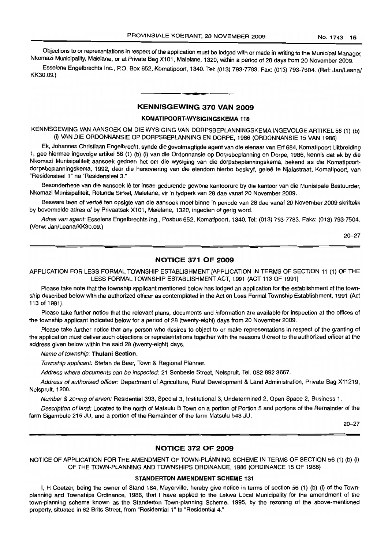Objections to or representations in respect of the application must be lodged with or made in writing to the Municipal Manager, Nkomazi Municipality, Malelane, or at Private Bag X101, Malelane, 1320, within a period of 28 days from 20 November 2009.

Esselens Engelbrechts Inc., P.O. Box 652, Komatipoort, 1340. Tel: (013) 793-7783. Fax: (013) 793-7504. (Ref: Jan/Leana! KK30.09.)

#### KENNISGEWING 370 VAN 2009

• **• •**

#### KOMATIPOORT-WYSIGINGSKEMA 118

KENNISGEWING VAN AANSOEK OM DIE WYSIGING VAN DORPSBEPLANNINGSKEMA INGEVOLGE ART/KEL 56 (1) (b) (i) VAN DIE ORDONNANSIE OP DORPSBEPLANNING EN DORPE, 1986 (ORDONNANSIE 15 VAN 1986)

Ek, Johannes Christiaan Engelbrecht, synde die gevolmagtigde agent van die eienaar van Erf 684, Komatipoort Uitbreiding 1, gee hiermee ingevolge artikel 56 (1) (b) (i) van die Ordonnansie op Dorpsbeplanning en Dorpe, 1986, kennis dat ek by die Nkomazi Munisipaliteit aansoek gedoen het om die wysiging van die dorpsbeplanningskema, bekend as die Komatipoortdorpsbeplanningskema, 1992, deur die hersonering van die eiendom hierbo beskryf, gelee te Njalastraat, Komatipoort, van "Residensieel 1" na "Residensieel 3."

Besonderhede van die aansoek lê ter insae gedurende gewone kantoorure by die kantoor van die Munisipale Bestuurder, Nkomazi Munisipaliteit, Rotunda Sirkel, Malelane, vir 'n tydperk van 28 dae vanaf 20 November 2009.

Besware teen of vertoe ten opsigte van die aansoek moet binne 'n periode van 28 dae vanaf 20 November 2009 skriftelik by bovermelde adres of by Privaatsak X101, Malelane, 1320, ingedien of gerig word.

Adres van agent: Esselens Engelbrechts Ing., Posbus 652, Komatipoort, 1340. Tel: (013) 793-7783. Faks: (013) 793-7504. (Verw: Jan/Leana/KK30.09.)

20-27

#### NOTICE 371 OF 2009

APPLICATION FOR LESS FORMAL TOWNSHIP ESTABLISHMENT [APPLICATION IN TERMS OF SECTION 11 (1) OF THE LESS FORMAL TOWNSHIP ESTABLISHMENT ACT, 1991 (ACT 113 OF 1991]

Please take note that the township applicant mentioned below has lodged an application for the establishment of the township described below with the authorized officer as contemplated in the Act on Less Formal Township Establishment, 1991 (Act 113 of 1991).

Please take further notice that the relevant plans, documents and information are available for inspection at the offices of the township applicant indicated below for a period of 28 (twenty-eight) days from 20 November 2009.

Please take further notice that any person who desires to object to or make representations in respect of the granting of the application must deliver such objections or representations together with the reasons thereof to the authorized officer at the address given below within the said 28 (twenty-eight) days.

Name of township: Thulani Section.

Township applicant: Stefan de Beer, Town & Regional Planner.

Address where documents can be inspected: 21 Sonbesie Street, Nelspruit, Tel. 082 892 3667.

Address of authorised officer: Department of Agriculture, Rural Development & Land Administration, Private Bag X11219, Nelspruit, 1200.

Number & zoning of erven: Residential 393, Special 3, Institutional 3, Undetermined 2, Open Space 2, Business 1.

Description of land: Located to the north of Matsulu B Town on a portion of Portion 5 and portions of the Remainder of the farm Sigambule 216 JU, and a portion of the Remainder of the farm Matsulu 543 JU.

20-27

#### NOTICE 372 OF 2009

NOTICE OF APPLICATION FOR THE AMENDMENT OF TOWN-PLANNING SCHEME IN TERMS OF SECTION 56 (1) (b) (i) OF THE TOWN-PLANNING AND TOWNSHIPS ORDINANCE, 1986 (ORDINANCE 15 OF 1986)

#### STANDERTON AMENDMENT SCHEME 131

I, H Coetzer, being the owner of Stand 184, Meyerville, hereby give notice in terms of section 56 (1) (b) (i) of the Townplanning and Townships Ordinance, 1986, that I have applied to the Lekwa Local Municipality for the amendment of the town-planning scheme known as the Standerton Town-planning Scheme, 1995, by the rezoning of the above-mentioned property, situated in 62 Brits Street, from "Residential 1" to "Residential 4."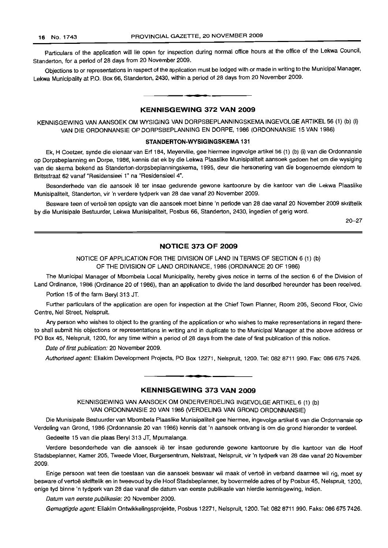Particulars of the application will lie open for inspection during normal office hours at the office of the Lekwa Council, Standerton, for a period of 28 days from 20 November 2009.

Objections to or representations in respect of the application must be lodged with or made in writing to the Municipal Manager, Lekwa Municipality at P.O. Box 66, Standerton, 2430, within a period of 28 days from 20 November 2009.

#### **KENNISGEWING 372 VAN 2009**

**• I**

KENNISGEWING VAN AANSOEK OM WYSIGING VAN DORPSBEPLANNINGSKEMA INGEVOLGE ARTIKEL 56 (1) (b) (i) VAN DIE ORDONNANSIE OP DORPSBEPLANNING EN DORPE, 1986 (ORDONNANSIE 15 VAN 1986)

#### **STANDERTON-WYSIGINGSKEMA 131**

Ek, H Coetzer, synde die eienaar van Erf 184, Meyerville, gee hiermee ingevolge artikel 56 (1) (b) (i) van die Ordonnansie op Dorpsbeplanning en Dorpe, 1986, kennis dat ek by die Lekwa Plaaslike Munisipaliteit aansoek gedoen het om die wysiging van die skema bekend as Standerton-dorpsbeplanningskema, 1995, deur die hersonering van die bogenoemde eiendom te Britsstraat 62 vanaf "Residensieel 1" na "Residensieel 4".

Besonderhede van die aansoek lê ter insae gedurende gewone kantoorure by die kantoor van die Lekwa Plaaslike Munisipaliteit, Standerton, vir 'n verdere tydperk van 28 dae vanaf 20 November 2009.

Besware teen of vertoë ten opsigte van die aansoek moet binne 'n periode van 28 dae vanaf 20 November 2009 skriftelik by die Munisipale Bestuurder, Lekwa Munisipaliteit, Posbus 66, Standerton, 2430, ingedien of gerig word.

20-27

#### **NOTICE 373 OF 2009**

NOTICE OF APPLICATION FOR THE DIVISION OF LAND IN TERMS OF SECTION 6 (1) (b) OF THE DIVISION OF LAND ORDINANCE, 1986 (ORDINANCE 20 OF 1986)

The Municipal Manager of Mbombela Local Municipality, hereby gives notice in terms of the section 6 of the Division of Land Ordinance, 1986 (Ordinance 20 of 1986), than an application to divide the land described hereunder has been received.

Portion 15 of the farm Beryl 313 JT.

Further particulars of the application are open for inspection at the Chief Town Planner, Room 205, Second Floor, Civic Centre, Nel Street, Nelspruit.

Any person who wishes to object to the granting of the application or who wishes to make representations in regard thereto shall submit his objections or representations in writing and in duplicate to the Municipal Manager at the above address or PO Box 45, Nelspruit, 1200, for any time within a period of 28 days from the date of first publication of this notice.

Date of first publication: 20 November 2009.

Authorised agent: Eliakim Development Projects, PO Box 12271, Nelspruit, 1200. Tel: 082 8711 990. Fax: 086 675 7426.

#### **KENNISGEWING 373 VAN 2009**

<sup>I</sup> **••**

KENNISGEWING VAN AANSOEK OM ONDERVERDELING INGEVOLGE ARTIKEL 6 (1) (b) VAN ORDONNANSIE 20 VAN 1986 (VERDELING VAN GROND ORDONNANSIE)

Die Munisipale Bestuurder van Mbombela Plaaslike Munisipaliteit gee hiermee, ingevolge artikel 6 van die Ordonnansie op Verdeling van Grand, 1986 (Ordonnansie 20 van 1986) kennis dat 'n aansoek ontvang is om die grond hieronder te verdeel.

Gedeelte 15 van die plaas Beryl 313 JT, Mpumalanga.

Verdere besonderhede van die aansoek lê ter insae gedurende gewone kantoorure by die kantoor van die Hoof Stadsbeplanner, Kamer 205, Tweede Vloer, Burgersentrum, Nelstraat, Nelspruit, vir 'n tydperk van 28 dae vanaf 20 November 2009.

Enige persoon wat teen die toestaan van die aansoek beswaar wil maak of vertoë in verband daarmee wil rig, moet sy besware of vertoe skriftelik en in tweevoud by die Hoof Stadsbeplanner, by bovermelde adres of by Posbus 45, Nelspruit, 1200, enige tyd binne 'n tydperk van 28 dae vanaf die datum van eerste publikasie van hierdie kennisgewing, indien.

Datum van eerste publikasie: 20 November 2009.

Gemagtigde agent: Eliakim Ontwikkelingsprojekte, Posbus 12271, Nelspruit, 1200. Tel: 082 8711 990. Faks: 0866757426.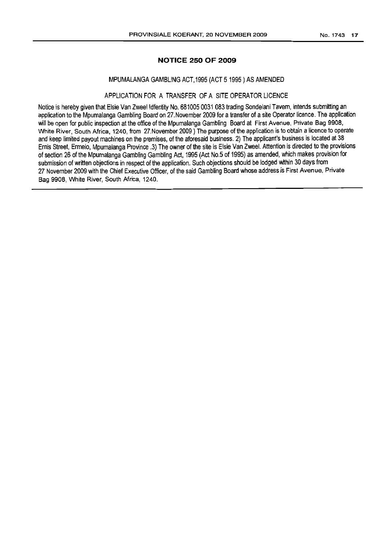#### **NOTICE 250 OF 2009**

#### MPUMALANGA GAMBLING ACT, 1995 (ACT 51995) AS AMENDED

#### APPLICATION FOR A TRANSFER OF A SITE OPERATOR LICENCE

Notice is hereby given that Elsie Van Zweel Idfentity No. 681005 0031 083 trading Sondelani Tavern, intends submitting an application to the Mpumalanga Gambling Board on 27. November 2009 for a transfer of a site Operator licence. The application will be open for public inspection at the office of the Mpumalanga Gambling Board at First Avenue, Private Bag 9908, White River, South Africa, 1240, from 27. November 2009) The purpose of the application is to obtain a licence to operate and keep limited payout machines on the premises, of the aforesaid business. 2) The applicant's business is located at 38 Ernis Street, Ermelo, Mpumalanga Province .3) The owner of the site is Elsie Van Zweel. Attention is directed to the provisions of section 26 of the Mpumalanga Gambling Gambling Act, 1995 (Act No.5 of 1995) as amended, which makes provision for submission of written objections in respect of the application. Such objections should be lodged within 30 days from 27 November 2009 with the Chief Executive Officer, of the said Gambling Board whose address is First Avenue, Private Bag 9908, White River, South Africa, 1240.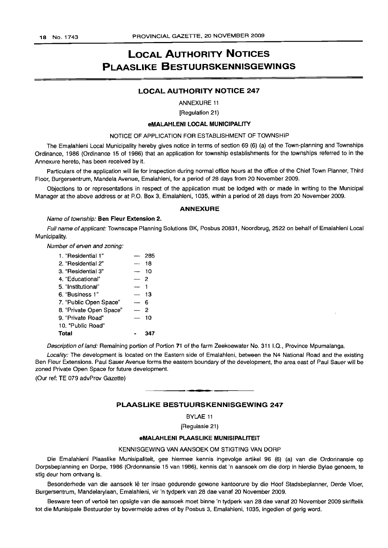### LOCAL AUTHORITY NOTICES PLAASLIKE BESTUURSKENNISGEWINGS

#### LOCAL AUTHORITY NOTICE 247

ANNEXURE 11

[Regulation 21)

#### eMALAHLENI LOCAL MUNICIPALITY

#### NOTICE OF APPLICATION FOR ESTABLISHMENT OF TOWNSHIP

The Emalahleni Local Municipality hereby gives notice in terms of section 69 (6) (a) of the Town-planning and Townships Ordinance, 1986 (Ordinance 15 of 1986) that an application for township establishments for the townships referred to in the Annexure hereto, has been received by it.

Particulars of the application will lie for inspection during normal office hours at the office of the Chief Town Planner, Third Floor, Burgersentrum, Mandela Avenue, Emalahleni, for a period of 28 days from 20 November 2009.

Objections to or representations in respect of the application must be lodged with or made in writing to the Municipal Manager at the above address or at P.O. Box 3, Emalahleni, 1035, within a period of 28 days from 20 November 2009.

#### ANNEXURE

#### Name of township: Ben Fleur Extension 2.

Full name of applicant: Townscape Planning Solutions BK, Posbus 20831, Noordbrug, 2522 on behalf of Emalahleni Local Municipality.

Number of erven and zoning:

| 1. "Residential 1"      |                          | 285 |
|-------------------------|--------------------------|-----|
| 2. "Residential 2"      |                          | 18  |
| 3. "Residential 3"      |                          | 10  |
| 4. "Educational"        |                          | - 2 |
| 5. "Institutional"      | $\overline{\phantom{a}}$ |     |
| 6. "Business 1"         |                          | 13  |
| 7. "Public Open Space"  |                          | 6   |
| 8. "Private Open Space" |                          | 2   |
| 9. "Private Road"       |                          | 10  |
| 10. "Public Road"       |                          |     |
| Total                   |                          |     |

Description of land: Remaining portion of Portion 71 of the farm Zeekoewater No. 311 1.0., Province Mpumalanga.

Locality: The development is located on the Eastern side of Emalahleni, between the N4 National Road and the existing Ben Fleur Extensions. Paul Sauer Avenue forms the eastern boundary of the development, the area east of Paul Sauer will be zoned Private Open Space for future development.

(Our ref: TE 079 advProv Gazette)

#### PLAASLIKE BESTUURSKENNISGEWING 247

**•**

BYLAE 11

[Regulasie 21)

#### eMALAHLENI PLAASLIKE MUNISIPALITEIT

#### KENNISGEWING VAN AANSOEK OM STIGTING VAN DORP

Die Emalahleni Plaaslike Munisipaliteit, gee hiermee kennis ingevolge artikel 96 (6) (a) van die Ordonnansie op Dorpsbeplanning en Dorpe, 1986 (Ordonnansie 15 van 1986), kennis dat 'n aansoek om die dorp in hierdie Bylae genoem, te stig deur hom ontvang is.

Besonderhede van die aansoek lê ter insae gedurende gewone kantoorure by die Hoof Stadsbeplanner, Derde Vloer, Burgersentrum, Mandelarylaan, Emalahleni, vir 'n tydperk van 28 dae vanaf 20 November 2009.

Besware teen of vertoë ten opsigte van die aansoek moet binne 'n tydperk van 28 dae vanaf 20 November 2009 skriftelik tot die Munisipale Bestuurder by bovermelde adres of by Posbus 3, Emalahleni, 1035, ingedien of gerig word.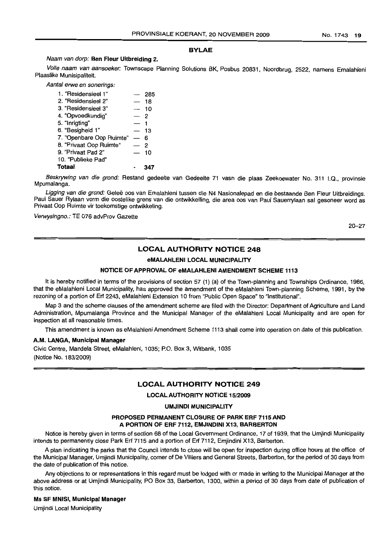#### BYLAE

#### Naam van dorp: Ben Fleur Uitbreiding 2.

Volle naam van aansoeker: Townscape Planning Solutions BK, Posbus 20831, Noordbrug, 2522, namens Emalahleni Plaaslike Munisipaliteit.

Aantal erwe en sonerings:

| 1. "Residensieel 1"      |                          | 285 |
|--------------------------|--------------------------|-----|
| 2. "Residensieel 2"      | $\overline{\phantom{0}}$ | 18  |
| 3. "Residensieel 3"      |                          | 10  |
| 4. "Opvoedkundig"        | — 2                      |     |
| 5. "Inrigting"           |                          |     |
| 6. "Besigheid 1"         |                          | 13  |
| 7. "Openbare Oop Ruimte" |                          | ุค  |
| 8. "Privaat Oop Ruimte"  |                          | 2   |
| 9. "Privaat Pad 2"       |                          | 10  |
| 10. "Publieke Pad"       |                          |     |
| <b>Totaal</b>            |                          |     |

Beskrywing van die grond: Restand gedeelte van Gedeelte 71 vasn die plaas Zeekoewater No. 311 I.Q., provinsie Mpumalanga.

Ligging van die grond: Geleë oos van Emalahleni tussen die N4 Nasionalepad en die bestaande Ben Fleur Uitbreidings. Paul Sauer Rylaan vorm die oostelike grens van die ontwikkelling, die area oos van Paul Sauerrylaan sal gesoneer word as Privaat Oop Ruimte vir toekomstige ontwikkeling.

Verwysingno.: TE 076 advProv Gazette

20-27

#### LOCAL AUTHORITY NOTICE 248

#### eMALAHLENI LOCAL MUNICIPALITY

#### NOTICE OF APPROVAL OF eMALAHLENI AMENDMENT SCHEME 1113

It is hereby notified in terms of the provisions of section 57 (1) (a) of the Town-planning and Townships Ordinance, 1986, that the eMalahleni Local Municipality, has approved the amendment of the eMalahleni Town-planning Scheme, 1991, by the rezoning of a portion of Erf 2243, eMalahleni Extension 10 from "Public Open Space" to "Institutional".

Map 3 and the scheme clauses of the amendment scheme are filed with the Director: Department of Agriculture and Land Administration, Mpumalanga Province and the Municipal Manager of the eMalahleni Local Municipality and are open for inspection at all reasonable times.

This amendment is known as eMalahleni Amendment Scheme 1113 shall come into operation on date of this publication.

#### A.M. LANGA, Municipal Manager

Civic Centre, Mandela Street, eMalahleni, 1035; P.O. Box 3, Witbank, 1035 (Notice No. 183/2009)

#### LOCAL AUTHORITY NOTICE 249

LOCAL AUTHORITY NOTICE 15/2009

#### UMJINDI MUNICIPALITY

#### PROPOSED PERMANENT CLOSURE OF PARK ERF 7115 AND A PORTION OF ERF 7112, EMJINDINI X13, BARBERTON

Notice is hereby given in terms of section 68 of the Local Government Ordinance, 17 of 1939, that the Umjindi Municipality intends to permanently close Park Erf 7115 and a portion of Erf 7112, Emjindini X13, Barberton.

A plan indicating the parks that the Council intends to close will be open for inspection during office hours at the office of the Municipal Manager, Umjindi Municipality, corner of De Villiers and General Streets, Barberton, for the period of 30 days from the date of publication of this notice.

Any objections to or representations in this regard must be lodged with or made in writing to the Municipal Manager at the above address or at Umjindi Municipality, PO Box 33, Barberton, 1300, within a period of 30 days from date of publication of this notice.

#### Ms SF MNISI, Municipal Manager

Umjindi Local Municipality